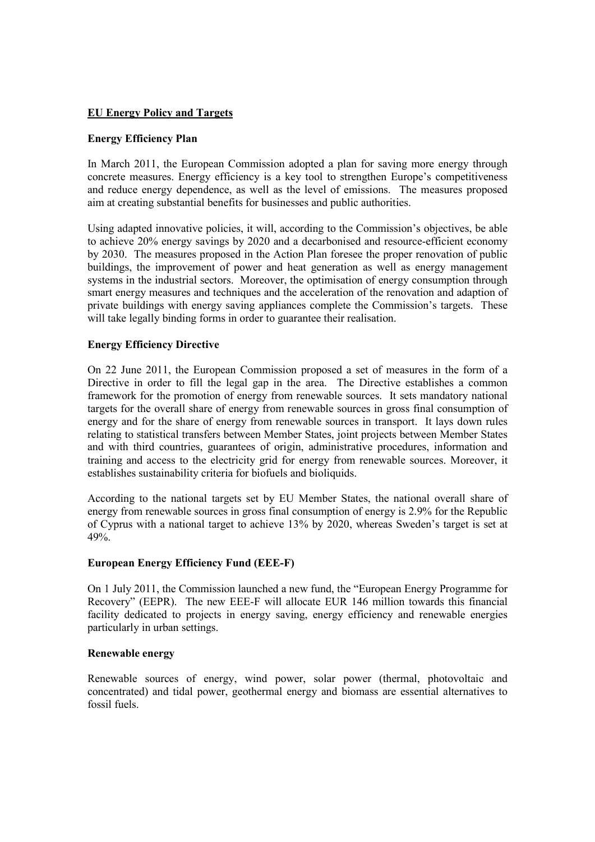# **EU Energy Policy and Targets**

# **Energy Efficiency Plan**

In March 2011, the European Commission adopted a plan for saving more energy through concrete measures. Energy efficiency is a key tool to strengthen Europe's competitiveness and reduce energy dependence, as well as the level of emissions. The measures proposed aim at creating substantial benefits for businesses and public authorities.

Using adapted innovative policies, it will, according to the Commission's objectives, be able to achieve 20% energy savings by 2020 and a decarbonised and resource-efficient economy by 2030. The measures proposed in the Action Plan foresee the proper renovation of public buildings, the improvement of power and heat generation as well as energy management systems in the industrial sectors. Moreover, the optimisation of energy consumption through smart energy measures and techniques and the acceleration of the renovation and adaption of private buildings with energy saving appliances complete the Commission's targets. These will take legally binding forms in order to guarantee their realisation.

# **Energy Efficiency Directive**

On 22 June 2011, the European Commission proposed a set of measures in the form of a Directive in order to fill the legal gap in the area. The Directive establishes a common framework for the promotion of energy from renewable sources. It sets mandatory national targets for the overall share of energy from renewable sources in gross final consumption of energy and for the share of energy from renewable sources in transport. It lays down rules relating to statistical transfers between Member States, joint projects between Member States and with third countries, guarantees of origin, administrative procedures, information and training and access to the electricity grid for energy from renewable sources. Moreover, it establishes sustainability criteria for biofuels and bioliquids.

According to the national targets set by EU Member States, the national overall share of energy from renewable sources in gross final consumption of energy is 2.9% for the Republic of Cyprus with a national target to achieve 13% by 2020, whereas Sweden's target is set at 49%.

# **European Energy Efficiency Fund (EEE-F)**

On 1 July 2011, the Commission launched a new fund, the "European Energy Programme for Recovery" (EEPR). The new EEE-F will allocate EUR 146 million towards this financial facility dedicated to projects in energy saving, energy efficiency and renewable energies particularly in urban settings.

# **Renewable energy**

Renewable sources of energy, wind power, solar power (thermal, photovoltaic and concentrated) and tidal power, geothermal energy and biomass are essential alternatives to fossil fuels.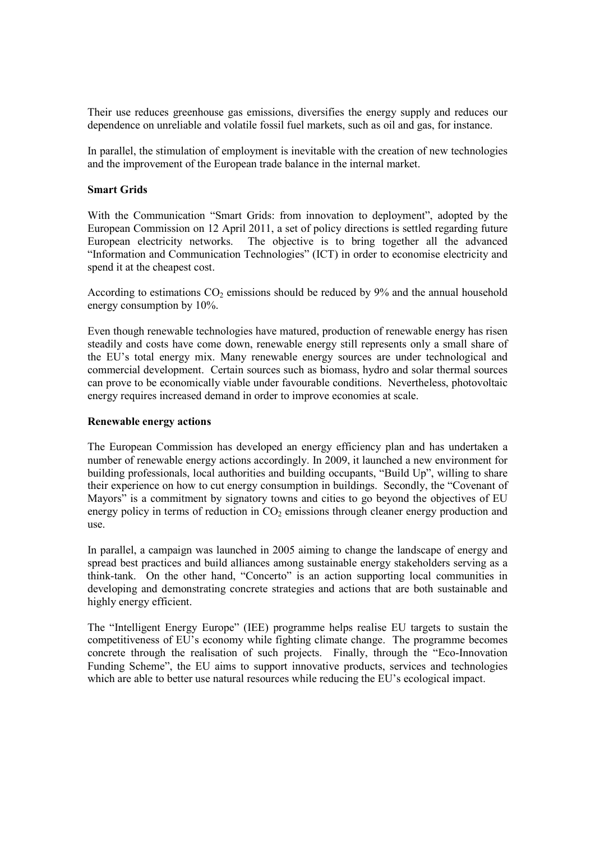Their use reduces greenhouse gas emissions, diversifies the energy supply and reduces our dependence on unreliable and volatile fossil fuel markets, such as oil and gas, for instance.

In parallel, the stimulation of employment is inevitable with the creation of new technologies and the improvement of the European trade balance in the internal market.

### **Smart Grids**

With the Communication "Smart Grids: from innovation to deployment", adopted by the European Commission on 12 April 2011, a set of policy directions is settled regarding future European electricity networks. The objective is to bring together all the advanced "Information and Communication Technologies" (ICT) in order to economise electricity and spend it at the cheapest cost.

According to estimations  $CO<sub>2</sub>$  emissions should be reduced by 9% and the annual household energy consumption by 10%.

Even though renewable technologies have matured, production of renewable energy has risen steadily and costs have come down, renewable energy still represents only a small share of the EU's total energy mix. Many renewable energy sources are under technological and commercial development. Certain sources such as biomass, hydro and solar thermal sources can prove to be economically viable under favourable conditions. Nevertheless, photovoltaic energy requires increased demand in order to improve economies at scale.

### **Renewable energy actions**

The European Commission has developed an energy efficiency plan and has undertaken a number of renewable energy actions accordingly. In 2009, it launched a new environment for building professionals, local authorities and building occupants, "Build Up", willing to share their experience on how to cut energy consumption in buildings. Secondly, the "Covenant of Mayors" is a commitment by signatory towns and cities to go beyond the objectives of EU energy policy in terms of reduction in  $CO<sub>2</sub>$  emissions through cleaner energy production and use.

In parallel, a campaign was launched in 2005 aiming to change the landscape of energy and spread best practices and build alliances among sustainable energy stakeholders serving as a think-tank. On the other hand, "Concerto" is an action supporting local communities in developing and demonstrating concrete strategies and actions that are both sustainable and highly energy efficient.

The "Intelligent Energy Europe" (IEE) programme helps realise EU targets to sustain the competitiveness of EU's economy while fighting climate change. The programme becomes concrete through the realisation of such projects. Finally, through the "Eco-Innovation Funding Scheme", the EU aims to support innovative products, services and technologies which are able to better use natural resources while reducing the EU's ecological impact.